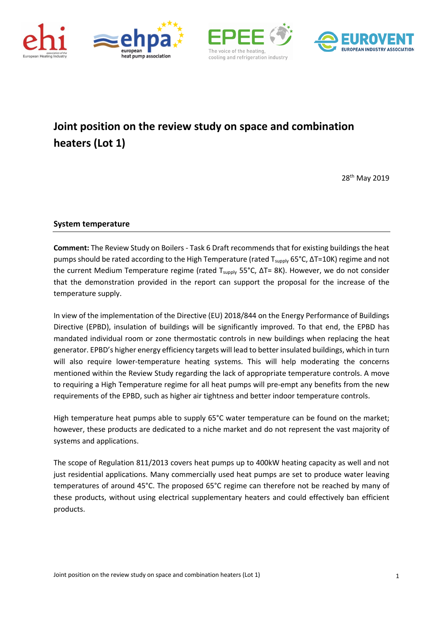







## **Joint position on the review study on space and combination heaters (Lot 1)**

28th May 2019

## **System temperature**

**Comment:** The Review Study on Boilers - Task 6 Draft recommends that for existing buildings the heat pumps should be rated according to the High Temperature (rated T<sub>supply</sub> 65°C, ΔT=10K) regime and not the current Medium Temperature regime (rated T<sub>supply</sub> 55°C, ΔT= 8K). However, we do not consider that the demonstration provided in the report can support the proposal for the increase of the temperature supply.

In view of the implementation of the Directive (EU) 2018/844 on the Energy Performance of Buildings Directive (EPBD), insulation of buildings will be significantly improved. To that end, the EPBD has mandated individual room or zone thermostatic controls in new buildings when replacing the heat generator. EPBD's higher energy efficiency targets will lead to better insulated buildings, which in turn will also require lower-temperature heating systems. This will help moderating the concerns mentioned within the Review Study regarding the lack of appropriate temperature controls. A move to requiring a High Temperature regime for all heat pumps will pre-empt any benefits from the new requirements of the EPBD, such as higher air tightness and better indoor temperature controls.

High temperature heat pumps able to supply 65°C water temperature can be found on the market; however, these products are dedicated to a niche market and do not represent the vast majority of systems and applications.

The scope of Regulation 811/2013 covers heat pumps up to 400kW heating capacity as well and not just residential applications. Many commercially used heat pumps are set to produce water leaving temperatures of around 45°C. The proposed 65°C regime can therefore not be reached by many of these products, without using electrical supplementary heaters and could effectively ban efficient products.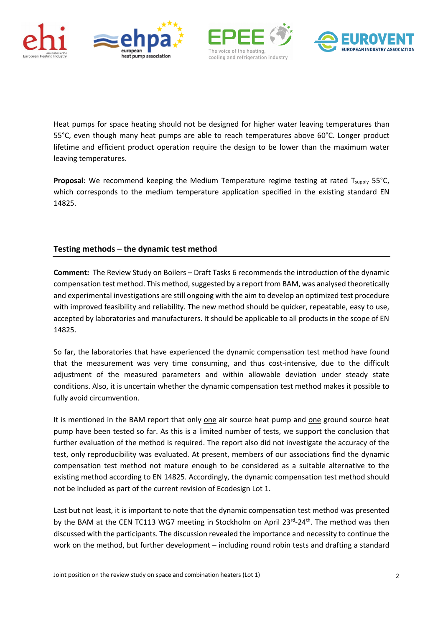







Heat pumps for space heating should not be designed for higher water leaving temperatures than 55°C, even though many heat pumps are able to reach temperatures above 60°C. Longer product lifetime and efficient product operation require the design to be lower than the maximum water leaving temperatures.

**Proposal:** We recommend keeping the Medium Temperature regime testing at rated T<sub>supply</sub> 55°C, which corresponds to the medium temperature application specified in the existing standard EN 14825.

## **Testing methods – the dynamic test method**

**Comment:** The Review Study on Boilers – Draft Tasks 6 recommends the introduction of the dynamic compensation test method. This method, suggested by a report from BAM, was analysed theoretically and experimental investigations are still ongoing with the aim to develop an optimized test procedure with improved feasibility and reliability. The new method should be quicker, repeatable, easy to use, accepted by laboratories and manufacturers. It should be applicable to all products in the scope of EN 14825.

So far, the laboratories that have experienced the dynamic compensation test method have found that the measurement was very time consuming, and thus cost-intensive, due to the difficult adjustment of the measured parameters and within allowable deviation under steady state conditions. Also, it is uncertain whether the dynamic compensation test method makes it possible to fully avoid circumvention.

It is mentioned in the BAM report that only one air source heat pump and one ground source heat pump have been tested so far. As this is a limited number of tests, we support the conclusion that further evaluation of the method is required. The report also did not investigate the accuracy of the test, only reproducibility was evaluated. At present, members of our associations find the dynamic compensation test method not mature enough to be considered as a suitable alternative to the existing method according to EN 14825. Accordingly, the dynamic compensation test method should not be included as part of the current revision of Ecodesign Lot 1.

Last but not least, it is important to note that the dynamic compensation test method was presented by the BAM at the CEN TC113 WG7 meeting in Stockholm on April 23<sup>rd</sup>-24<sup>th</sup>. The method was then discussed with the participants. The discussion revealed the importance and necessity to continue the work on the method, but further development – including round robin tests and drafting a standard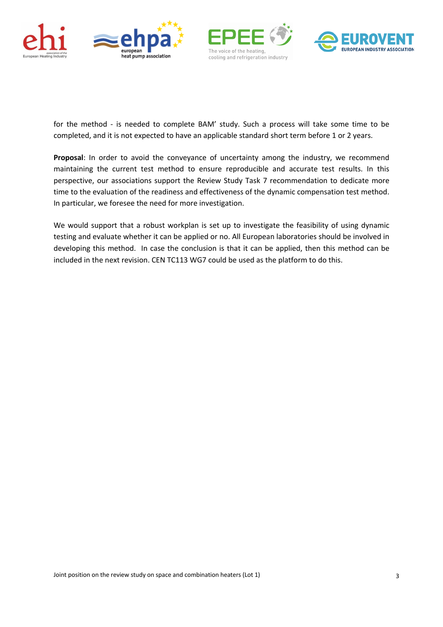







for the method - is needed to complete BAM' study. Such a process will take some time to be completed, and it is not expected to have an applicable standard short term before 1 or 2 years.

**Proposal**: In order to avoid the conveyance of uncertainty among the industry, we recommend maintaining the current test method to ensure reproducible and accurate test results. In this perspective, our associations support the Review Study Task 7 recommendation to dedicate more time to the evaluation of the readiness and effectiveness of the dynamic compensation test method. In particular, we foresee the need for more investigation.

We would support that a robust workplan is set up to investigate the feasibility of using dynamic testing and evaluate whether it can be applied or no. All European laboratories should be involved in developing this method. In case the conclusion is that it can be applied, then this method can be included in the next revision. CEN TC113 WG7 could be used as the platform to do this.